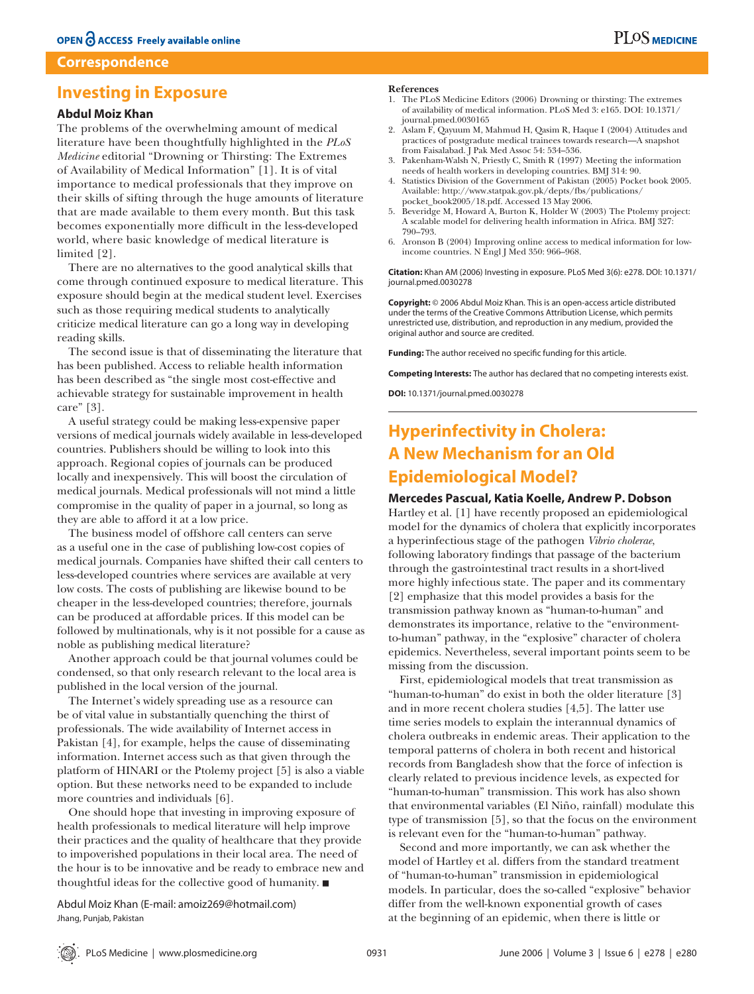# **Correspondence**

# **Investing in Exposure**

# **Abdul Moiz Khan**

The problems of the overwhelming amount of medical literature have been thoughtfully highlighted in the *PLoS Medicine* editorial "Drowning or Thirsting: The Extremes of Availability of Medical Information" [1]. It is of vital importance to medical professionals that they improve on their skills of sifting through the huge amounts of literature that are made available to them every month. But this task becomes exponentially more difficult in the less-developed world, where basic knowledge of medical literature is limited [2].

There are no alternatives to the good analytical skills that come through continued exposure to medical literature. This exposure should begin at the medical student level. Exercises such as those requiring medical students to analytically criticize medical literature can go a long way in developing reading skills.

The second issue is that of disseminating the literature that has been published. Access to reliable health information has been described as "the single most cost-effective and achievable strategy for sustainable improvement in health care" [3].

A useful strategy could be making less-expensive paper versions of medical journals widely available in less-developed countries. Publishers should be willing to look into this approach. Regional copies of journals can be produced locally and inexpensively. This will boost the circulation of medical journals. Medical professionals will not mind a little compromise in the quality of paper in a journal, so long as they are able to afford it at a low price.

The business model of offshore call centers can serve as a useful one in the case of publishing low-cost copies of medical journals. Companies have shifted their call centers to less-developed countries where services are available at very low costs. The costs of publishing are likewise bound to be cheaper in the less-developed countries; therefore, journals can be produced at affordable prices. If this model can be followed by multinationals, why is it not possible for a cause as noble as publishing medical literature?

Another approach could be that journal volumes could be condensed, so that only research relevant to the local area is published in the local version of the journal.

The Internet's widely spreading use as a resource can be of vital value in substantially quenching the thirst of professionals. The wide availability of Internet access in Pakistan [4], for example, helps the cause of disseminating information. Internet access such as that given through the platform of HINARI or the Ptolemy project [5] is also a viable option. But these networks need to be expanded to include more countries and individuals [6].

One should hope that investing in improving exposure of health professionals to medical literature will help improve their practices and the quality of healthcare that they provide to impoverished populations in their local area. The need of the hour is to be innovative and be ready to embrace new and thoughtful ideas for the collective good of humanity.

Abdul Moiz Khan (E-mail: amoiz269@hotmail.com) Jhang, Punjab, Pakistan

### **References**

- 1. The PLoS Medicine Editors (2006) Drowning or thirsting: The extremes of availability of medical information. PLoS Med 3: e165. DOI: 10.1371/ journal.pmed.0030165
- 2. Aslam F, Qayuum M, Mahmud H, Qasim R, Haque I (2004) Attitudes and practices of postgradute medical trainees towards research—A snapshot from Faisalabad. J Pak Med Assoc 54: 534–536.
- 3. Pakenham-Walsh N, Priestly C, Smith R (1997) Meeting the information needs of health workers in developing countries. BMJ 314: 90.
- 4. Statistics Division of the Government of Pakistan (2005) Pocket book 2005. Available: http:⁄⁄www.statpak.gov.pk/depts/fbs/publications/ pocket\_book2005/18.pdf. Accessed 13 May 2006.
- 5. Beveridge M, Howard A, Burton K, Holder W (2003) The Ptolemy project: A scalable model for delivering health information in Africa. BMJ 327: 790–793.
- 6. Aronson B (2004) Improving online access to medical information for lowincome countries. N Engl J Med 350: 966–968.

**Citation:** Khan AM (2006) Investing in exposure. PLoS Med 3(6): e278. DOI: 10.1371/ journal.pmed.0030278

**Copyright:** © 2006 Abdul Moiz Khan. This is an open-access article distributed under the terms of the Creative Commons Attribution License, which permits unrestricted use, distribution, and reproduction in any medium, provided the original author and source are credited.

Funding: The author received no specific funding for this article.

**Competing Interests:** The author has declared that no competing interests exist.

**DOI:** 10.1371/journal.pmed.0030278

# **Hyperinfectivity in Cholera: A New Mechanism for an Old Epidemiological Model?**

## **Mercedes Pascual, Katia Koelle, Andrew P. Dobson**

Hartley et al. [1] have recently proposed an epidemiological model for the dynamics of cholera that explicitly incorporates a hyperinfectious stage of the pathogen *Vibrio cholerae*, following laboratory findings that passage of the bacterium through the gastrointestinal tract results in a short-lived more highly infectious state. The paper and its commentary [2] emphasize that this model provides a basis for the transmission pathway known as "human-to-human" and demonstrates its importance, relative to the "environmentto-human" pathway, in the "explosive" character of cholera epidemics. Nevertheless, several important points seem to be missing from the discussion.

First, epidemiological models that treat transmission as "human-to-human" do exist in both the older literature [3] and in more recent cholera studies [4,5]. The latter use time series models to explain the interannual dynamics of cholera outbreaks in endemic areas. Their application to the temporal patterns of cholera in both recent and historical records from Bangladesh show that the force of infection is clearly related to previous incidence levels, as expected for "human-to-human" transmission. This work has also shown that environmental variables (El Niño, rainfall) modulate this type of transmission [5], so that the focus on the environment is relevant even for the "human-to-human" pathway.

Second and more importantly, we can ask whether the model of Hartley et al. differs from the standard treatment of "human-to-human" transmission in epidemiological models. In particular, does the so-called "explosive" behavior differ from the well-known exponential growth of cases at the beginning of an epidemic, when there is little or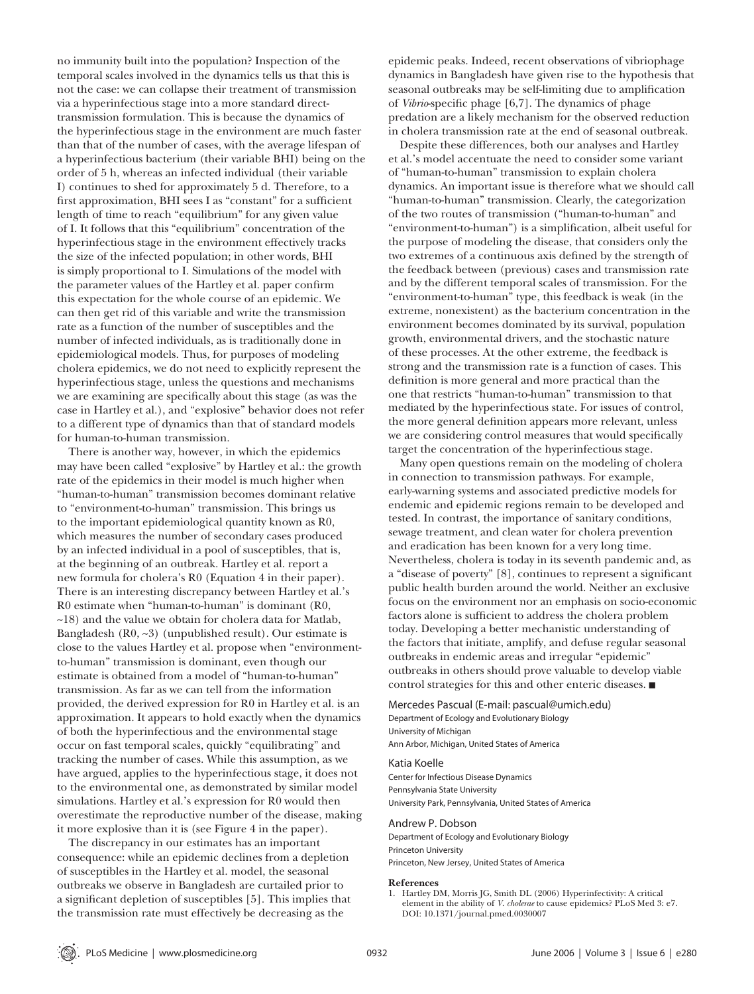no immunity built into the population? Inspection of the temporal scales involved in the dynamics tells us that this is not the case: we can collapse their treatment of transmission via a hyperinfectious stage into a more standard directtransmission formulation. This is because the dynamics of the hyperinfectious stage in the environment are much faster than that of the number of cases, with the average lifespan of a hyperinfectious bacterium (their variable BHI) being on the order of 5 h, whereas an infected individual (their variable I) continues to shed for approximately 5 d. Therefore, to a first approximation, BHI sees I as "constant" for a sufficient length of time to reach "equilibrium" for any given value of I. It follows that this "equilibrium" concentration of the hyperinfectious stage in the environment effectively tracks the size of the infected population; in other words, BHI is simply proportional to I. Simulations of the model with the parameter values of the Hartley et al. paper confirm this expectation for the whole course of an epidemic. We can then get rid of this variable and write the transmission rate as a function of the number of susceptibles and the number of infected individuals, as is traditionally done in epidemiological models. Thus, for purposes of modeling cholera epidemics, we do not need to explicitly represent the hyperinfectious stage, unless the questions and mechanisms we are examining are specifically about this stage (as was the case in Hartley et al.), and "explosive" behavior does not refer to a different type of dynamics than that of standard models for human-to-human transmission.

There is another way, however, in which the epidemics may have been called "explosive" by Hartley et al.: the growth rate of the epidemics in their model is much higher when "human-to-human" transmission becomes dominant relative to "environment-to-human" transmission. This brings us to the important epidemiological quantity known as R0, which measures the number of secondary cases produced by an infected individual in a pool of susceptibles, that is, at the beginning of an outbreak. Hartley et al. report a new formula for cholera's R0 (Equation 4 in their paper). There is an interesting discrepancy between Hartley et al.'s R0 estimate when "human-to-human" is dominant (R0, ~18) and the value we obtain for cholera data for Matlab, Bangladesh  $(R0, \sim 3)$  (unpublished result). Our estimate is close to the values Hartley et al. propose when "environmentto-human" transmission is dominant, even though our estimate is obtained from a model of "human-to-human" transmission. As far as we can tell from the information provided, the derived expression for R0 in Hartley et al. is an approximation. It appears to hold exactly when the dynamics of both the hyperinfectious and the environmental stage occur on fast temporal scales, quickly "equilibrating" and tracking the number of cases. While this assumption, as we have argued, applies to the hyperinfectious stage, it does not to the environmental one, as demonstrated by similar model simulations. Hartley et al.'s expression for R0 would then overestimate the reproductive number of the disease, making it more explosive than it is (see Figure 4 in the paper).

The discrepancy in our estimates has an important consequence: while an epidemic declines from a depletion of susceptibles in the Hartley et al. model, the seasonal outbreaks we observe in Bangladesh are curtailed prior to a significant depletion of susceptibles [5]. This implies that the transmission rate must effectively be decreasing as the

epidemic peaks. Indeed, recent observations of vibriophage dynamics in Bangladesh have given rise to the hypothesis that seasonal outbreaks may be self-limiting due to amplification of *Vibrio*-specific phage [6,7]. The dynamics of phage predation are a likely mechanism for the observed reduction in cholera transmission rate at the end of seasonal outbreak.

Despite these differences, both our analyses and Hartley et al.'s model accentuate the need to consider some variant of "human-to-human" transmission to explain cholera dynamics. An important issue is therefore what we should call "human-to-human" transmission. Clearly, the categorization of the two routes of transmission ("human-to-human" and "environment-to-human") is a simplification, albeit useful for the purpose of modeling the disease, that considers only the two extremes of a continuous axis defined by the strength of the feedback between (previous) cases and transmission rate and by the different temporal scales of transmission. For the "environment-to-human" type, this feedback is weak (in the extreme, nonexistent) as the bacterium concentration in the environment becomes dominated by its survival, population growth, environmental drivers, and the stochastic nature of these processes. At the other extreme, the feedback is strong and the transmission rate is a function of cases. This definition is more general and more practical than the one that restricts "human-to-human" transmission to that mediated by the hyperinfectious state. For issues of control, the more general definition appears more relevant, unless we are considering control measures that would specifically target the concentration of the hyperinfectious stage.

Many open questions remain on the modeling of cholera in connection to transmission pathways. For example, early-warning systems and associated predictive models for endemic and epidemic regions remain to be developed and tested. In contrast, the importance of sanitary conditions, sewage treatment, and clean water for cholera prevention and eradication has been known for a very long time. Nevertheless, cholera is today in its seventh pandemic and, as a "disease of poverty" [8], continues to represent a significant public health burden around the world. Neither an exclusive focus on the environment nor an emphasis on socio-economic factors alone is sufficient to address the cholera problem today. Developing a better mechanistic understanding of the factors that initiate, amplify, and defuse regular seasonal outbreaks in endemic areas and irregular "epidemic" outbreaks in others should prove valuable to develop viable control strategies for this and other enteric diseases.

Mercedes Pascual (E-mail: pascual@umich.edu) Department of Ecology and Evolutionary Biology University of Michigan

Ann Arbor, Michigan, United States of America

### Katia Koelle

Center for Infectious Disease Dynamics Pennsylvania State University University Park, Pennsylvania, United States of America

#### Andrew P. Dobson

Department of Ecology and Evolutionary Biology Princeton University Princeton, New Jersey, United States of America

#### **References**

1. Hartley DM, Morris JG, Smith DL (2006) Hyperinfectivity: A critical element in the ability of *V. cholerae* to cause epidemics? PLoS Med 3: e7. DOI: 10.1371/journal.pmed.0030007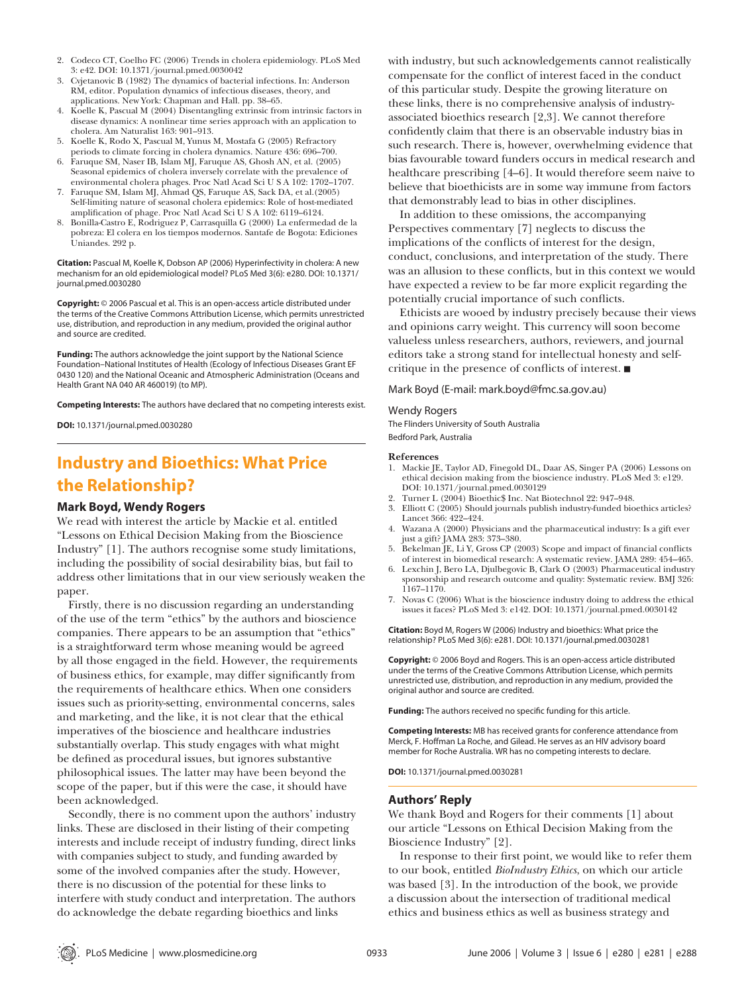- 2. Codeco CT, Coelho FC (2006) Trends in cholera epidemiology. PLoS Med 3: e42. DOI: 10.1371/journal.pmed.0030042
- 3. Cvjetanovic B (1982) The dynamics of bacterial infections. In: Anderson RM, editor. Population dynamics of infectious diseases, theory, and applications. New York: Chapman and Hall. pp. 38–65.
- 4. Koelle K, Pascual M (2004) Disentangling extrinsic from intrinsic factors in disease dynamics: A nonlinear time series approach with an application to cholera. Am Naturalist 163: 901–913.
- 5. Koelle K, Rodo X, Pascual M, Yunus M, Mostafa G (2005) Refractory periods to climate forcing in cholera dynamics. Nature 436: 696–700.
- 6. Faruque SM, Naser IB, Islam MJ, Faruque AS, Ghosh AN, et al. (2005) Seasonal epidemics of cholera inversely correlate with the prevalence of environmental cholera phages. Proc Natl Acad Sci U S A 102: 1702–1707.
- 7. Faruque SM, Islam MJ, Ahmad QS, Faruque AS, Sack DA, et al.(2005) Self-limiting nature of seasonal cholera epidemics: Role of host-mediated amplification of phage. Proc Natl Acad Sci U S A 102: 6119-6124.
- 8. Bonilla-Castro E, Rodriguez P, Carrasquilla G (2000) La enfermedad de la pobreza: El colera en los tiempos modernos. Santafe de Bogota: Ediciones Uniandes. 292 p.

**Citation:** Pascual M, Koelle K, Dobson AP (2006) Hyperinfectivity in cholera: A new mechanism for an old epidemiological model? PLoS Med 3(6): e280. DOI: 10.1371/ journal.pmed.0030280

**Copyright:** © 2006 Pascual et al. This is an open-access article distributed under the terms of the Creative Commons Attribution License, which permits unrestricted use, distribution, and reproduction in any medium, provided the original author and source are credited.

**Funding:** The authors acknowledge the joint support by the National Science Foundation–National Institutes of Health (Ecology of Infectious Diseases Grant EF 0430 120) and the National Oceanic and Atmospheric Administration (Oceans and Health Grant NA 040 AR 460019) (to MP).

**Competing Interests:** The authors have declared that no competing interests exist.

**DOI:** 10.1371/journal.pmed.0030280

# **Industry and Bioethics: What Price the Relationship?**

## **Mark Boyd, Wendy Rogers**

We read with interest the article by Mackie et al. entitled "Lessons on Ethical Decision Making from the Bioscience Industry" [1]. The authors recognise some study limitations, including the possibility of social desirability bias, but fail to address other limitations that in our view seriously weaken the paper.

Firstly, there is no discussion regarding an understanding of the use of the term "ethics" by the authors and bioscience companies. There appears to be an assumption that "ethics" is a straightforward term whose meaning would be agreed by all those engaged in the field. However, the requirements of business ethics, for example, may differ significantly from the requirements of healthcare ethics. When one considers issues such as priority-setting, environmental concerns, sales and marketing, and the like, it is not clear that the ethical imperatives of the bioscience and healthcare industries substantially overlap. This study engages with what might be defined as procedural issues, but ignores substantive philosophical issues. The latter may have been beyond the scope of the paper, but if this were the case, it should have been acknowledged.

Secondly, there is no comment upon the authors' industry links. These are disclosed in their listing of their competing interests and include receipt of industry funding, direct links with companies subject to study, and funding awarded by some of the involved companies after the study. However, there is no discussion of the potential for these links to interfere with study conduct and interpretation. The authors do acknowledge the debate regarding bioethics and links

with industry, but such acknowledgements cannot realistically compensate for the conflict of interest faced in the conduct of this particular study. Despite the growing literature on these links, there is no comprehensive analysis of industryassociated bioethics research [2,3]. We cannot therefore confidently claim that there is an observable industry bias in such research. There is, however, overwhelming evidence that bias favourable toward funders occurs in medical research and healthcare prescribing [4–6]. It would therefore seem naive to believe that bioethicists are in some way immune from factors that demonstrably lead to bias in other disciplines.

In addition to these omissions, the accompanying Perspectives commentary [7] neglects to discuss the implications of the conflicts of interest for the design, conduct, conclusions, and interpretation of the study. There was an allusion to these conflicts, but in this context we would have expected a review to be far more explicit regarding the potentially crucial importance of such conflicts.

Ethicists are wooed by industry precisely because their views and opinions carry weight. This currency will soon become valueless unless researchers, authors, reviewers, and journal editors take a strong stand for intellectual honesty and selfcritique in the presence of conflicts of interest.  $\blacksquare$ 

### Mark Boyd (E-mail: mark.boyd@fmc.sa.gov.au)

#### Wendy Rogers

The Flinders University of South Australia Bedford Park, Australia

#### **References**

- 1. Mackie JE, Taylor AD, Finegold DL, Daar AS, Singer PA (2006) Lessons on ethical decision making from the bioscience industry. PLoS Med 3: e129. DOI: 10.1371/journal.pmed.0030129
- 2. Turner L (2004) Bioethic\$ Inc. Nat Biotechnol 22: 947–948.
- 3. Elliott C (2005) Should journals publish industry-funded bioethics articles? Lancet 366: 422–424.
- 4. Wazana A (2000) Physicians and the pharmaceutical industry: Is a gift ever just a gift? JAMA 283: 373–380.
- 5. Bekelman JE, Li Y, Gross CP (2003) Scope and impact of financial conflicts of interest in biomedical research: A systematic review. JAMA 289: 454–465.
- 6. Lexchin J, Bero LA, Djulbegovic B, Clark O (2003) Pharmaceutical industry sponsorship and research outcome and quality: Systematic review. BMJ 326: 1167–1170.
- 7. Novas C (2006) What is the bioscience industry doing to address the ethical issues it faces? PLoS Med 3: e142. DOI: 10.1371/journal.pmed.0030142

**Citation:** Boyd M, Rogers W (2006) Industry and bioethics: What price the relationship? PLoS Med 3(6): e281. DOI: 10.1371/journal.pmed.0030281

**Copyright:** © 2006 Boyd and Rogers. This is an open-access article distributed under the terms of the Creative Commons Attribution License, which permits unrestricted use, distribution, and reproduction in any medium, provided the original author and source are credited.

Funding: The authors received no specific funding for this article.

**Competing Interests:** MB has received grants for conference attendance from Merck, F. Hoffman La Roche, and Gilead. He serves as an HIV advisory board member for Roche Australia. WR has no competing interests to declare.

**DOI:** 10.1371/journal.pmed.0030281

## **Authors' Reply**

We thank Boyd and Rogers for their comments [1] about our article "Lessons on Ethical Decision Making from the Bioscience Industry" [2].

In response to their first point, we would like to refer them to our book, entitled *BioIndustry Ethics*, on which our article was based [3]. In the introduction of the book, we provide a discussion about the intersection of traditional medical ethics and business ethics as well as business strategy and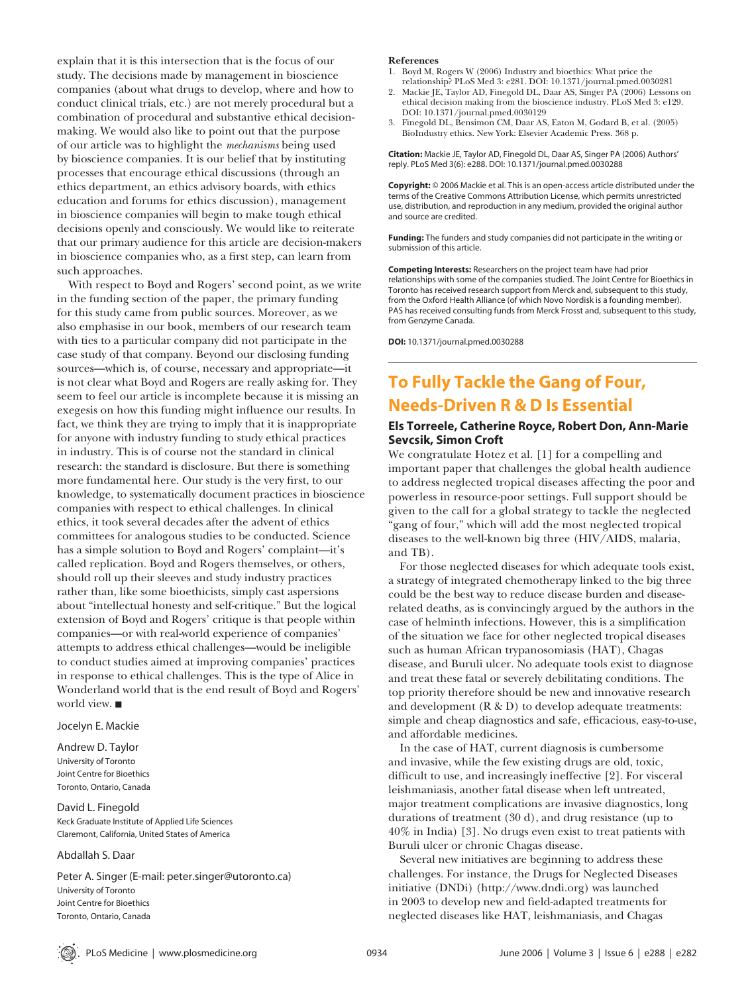explain that it is this intersection that is the focus of our study. The decisions made by management in bioscience companies (about what drugs to develop, where and how to conduct clinical trials, etc.) are not merely procedural but a combination of procedural and substantive ethical decisionmaking. We would also like to point out that the purpose of our article was to highlight the *mechanisms* being used by bioscience companies. It is our belief that by instituting processes that encourage ethical discussions (through an ethics department, an ethics advisory boards, with ethics education and forums for ethics discussion), management in bioscience companies will begin to make tough ethical decisions openly and consciously. We would like to reiterate that our primary audience for this article are decision-makers in bioscience companies who, as a first step, can learn from such approaches.

With respect to Boyd and Rogers' second point, as we write in the funding section of the paper, the primary funding for this study came from public sources. Moreover, as we also emphasise in our book, members of our research team with ties to a particular company did not participate in the case study of that company. Beyond our disclosing funding sources—which is, of course, necessary and appropriate—it is not clear what Boyd and Rogers are really asking for. They seem to feel our article is incomplete because it is missing an exegesis on how this funding might influence our results. In fact, we think they are trying to imply that it is inappropriate for anyone with industry funding to study ethical practices in industry. This is of course not the standard in clinical research: the standard is disclosure. But there is something more fundamental here. Our study is the very first, to our knowledge, to systematically document practices in bioscience companies with respect to ethical challenges. In clinical ethics, it took several decades after the advent of ethics committees for analogous studies to be conducted. Science has a simple solution to Boyd and Rogers' complaint—it's called replication. Boyd and Rogers themselves, or others, should roll up their sleeves and study industry practices rather than, like some bioethicists, simply cast aspersions about "intellectual honesty and self-critique." But the logical extension of Boyd and Rogers' critique is that people within companies—or with real-world experience of companies' attempts to address ethical challenges—would be ineligible to conduct studies aimed at improving companies' practices in response to ethical challenges. This is the type of Alice in Wonderland world that is the end result of Boyd and Rogers' world view. ■

Jocelyn E. Mackie

Andrew D. Taylor University of Toronto Joint Centre for Bioethics Toronto, Ontario, Canada

David L. Finegold Keck Graduate Institute of Applied Life Sciences Claremont, California, United States of America

## Abdallah S. Daar

Peter A. Singer (E-mail: peter.singer@utoronto.ca) University of Toronto Joint Centre for Bioethics Toronto, Ontario, Canada

#### **References**

- 1. Boyd M, Rogers W (2006) Industry and bioethics: What price the relationship? PLoS Med 3: e281. DOI: 10.1371/journal.pmed.0030281
- 2. Mackie JE, Taylor AD, Finegold DL, Daar AS, Singer PA (2006) Lessons on ethical decision making from the bioscience industry. PLoS Med 3: e129. DOI: 10.1371/journal.pmed.0030129
- 3. Finegold DL, Bensimon CM, Daar AS, Eaton M, Godard B, et al. (2005) BioIndustry ethics. New York: Elsevier Academic Press. 368 p.

**Citation:** Mackie JE, Taylor AD, Finegold DL, Daar AS, Singer PA (2006) Authors' reply. PLoS Med 3(6): e288. DOI: 10.1371/journal.pmed.0030288

**Copyright:** © 2006 Mackie et al. This is an open-access article distributed under the terms of the Creative Commons Attribution License, which permits unrestricted use, distribution, and reproduction in any medium, provided the original author and source are credited.

**Funding:** The funders and study companies did not participate in the writing or submission of this article.

**Competing Interests:** Researchers on the project team have had prior relationships with some of the companies studied. The Joint Centre for Bioethics in Toronto has received research support from Merck and, subsequent to this study, from the Oxford Health Alliance (of which Novo Nordisk is a founding member). PAS has received consulting funds from Merck Frosst and, subsequent to this study, from Genzyme Canada.

**DOI:** 10.1371/journal.pmed.0030288

# **To Fully Tackle the Gang of Four, Needs-Driven R & D Is Essential**

## **Els Torreele, Catherine Royce, Robert Don, Ann-Marie Sevcsik, Simon Croft**

We congratulate Hotez et al. [1] for a compelling and important paper that challenges the global health audience to address neglected tropical diseases affecting the poor and powerless in resource-poor settings. Full support should be given to the call for a global strategy to tackle the neglected "gang of four," which will add the most neglected tropical diseases to the well-known big three (HIV/AIDS, malaria, and TB).

For those neglected diseases for which adequate tools exist, a strategy of integrated chemotherapy linked to the big three could be the best way to reduce disease burden and diseaserelated deaths, as is convincingly argued by the authors in the case of helminth infections. However, this is a simplification of the situation we face for other neglected tropical diseases such as human African trypanosomiasis (HAT), Chagas disease, and Buruli ulcer. No adequate tools exist to diagnose and treat these fatal or severely debilitating conditions. The top priority therefore should be new and innovative research and development (R & D) to develop adequate treatments: simple and cheap diagnostics and safe, efficacious, easy-to-use, and affordable medicines.

In the case of HAT, current diagnosis is cumbersome and invasive, while the few existing drugs are old, toxic, difficult to use, and increasingly ineffective [2]. For visceral leishmaniasis, another fatal disease when left untreated, major treatment complications are invasive diagnostics, long durations of treatment (30 d), and drug resistance (up to 40% in India) [3]. No drugs even exist to treat patients with Buruli ulcer or chronic Chagas disease.

Several new initiatives are beginning to address these challenges. For instance, the Drugs for Neglected Diseases initiative (DNDi) (http:⁄⁄www.dndi.org) was launched in 2003 to develop new and field-adapted treatments for neglected diseases like HAT, leishmaniasis, and Chagas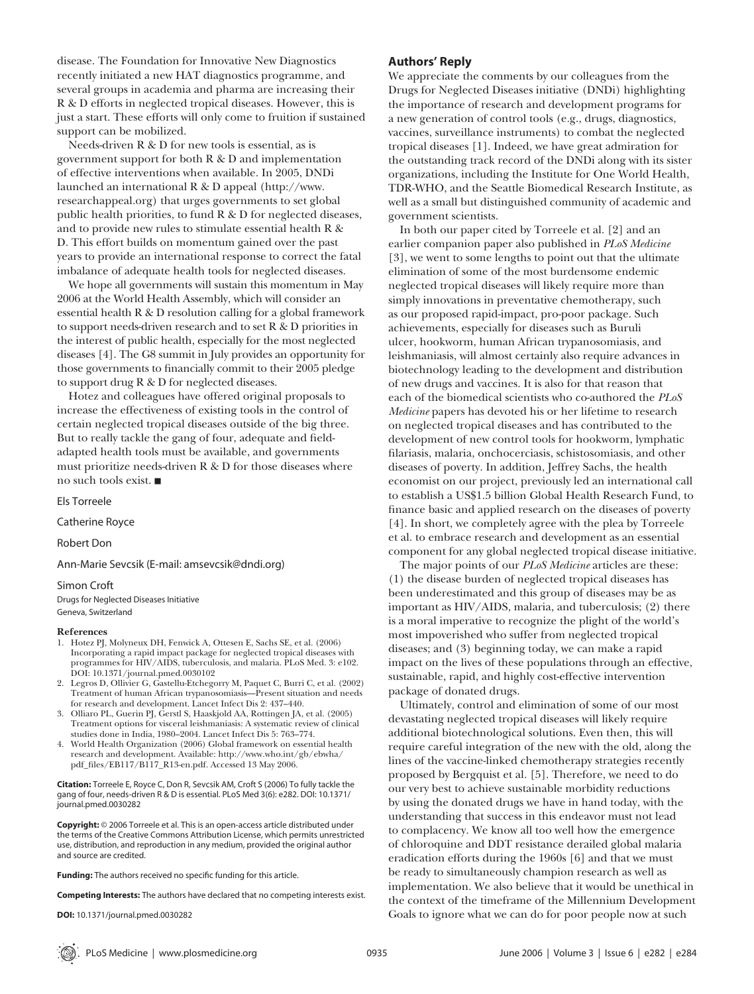disease. The Foundation for Innovative New Diagnostics recently initiated a new HAT diagnostics programme, and several groups in academia and pharma are increasing their R & D efforts in neglected tropical diseases. However, this is just a start. These efforts will only come to fruition if sustained support can be mobilized.

Needs-driven R & D for new tools is essential, as is government support for both R & D and implementation of effective interventions when available. In 2005, DNDi launched an international R & D appeal (http:⁄⁄www. researchappeal.org) that urges governments to set global public health priorities, to fund R & D for neglected diseases, and to provide new rules to stimulate essential health R & D. This effort builds on momentum gained over the past years to provide an international response to correct the fatal imbalance of adequate health tools for neglected diseases.

We hope all governments will sustain this momentum in May 2006 at the World Health Assembly, which will consider an essential health R & D resolution calling for a global framework to support needs-driven research and to set R & D priorities in the interest of public health, especially for the most neglected diseases [4]. The G8 summit in July provides an opportunity for those governments to financially commit to their 2005 pledge to support drug R & D for neglected diseases.

Hotez and colleagues have offered original proposals to increase the effectiveness of existing tools in the control of certain neglected tropical diseases outside of the big three. But to really tackle the gang of four, adequate and fieldadapted health tools must be available, and governments must prioritize needs-driven R & D for those diseases where no such tools exist.

Els Torreele

Catherine Royce

Robert Don

Ann-Marie Sevcsik (E-mail: amsevcsik@dndi.org)

Simon Croft Drugs for Neglected Diseases Initiative Geneva, Switzerland

#### **References**

- 1. Hotez PJ, Molyneux DH, Fenwick A, Ottesen E, Sachs SE, et al. (2006) Incorporating a rapid impact package for neglected tropical diseases with programmes for HIV/AIDS, tuberculosis, and malaria. PLoS Med. 3: e102. DOI: 10.1371/journal.pmed.0030102
- 2. Legros D, Ollivier G, Gastellu-Etchegorry M, Paquet C, Burri C, et al. (2002) Treatment of human African trypanosomiasis—Present situation and needs for research and development. Lancet Infect Dis 2: 437–440.
- 3. Olliaro PL, Guerin PJ, Gerstl S, Haaskjold AA, Rottingen JA, et al. (2005) Treatment options for visceral leishmaniasis: A systematic review of clinical studies done in India, 1980–2004. Lancet Infect Dis 5: 763–774.
- 4. World Health Organization (2006) Global framework on essential health research and development. Available: http:⁄⁄www.who.int/gb/ebwha/ pdf\_files/EB117/B117\_R13-en.pdf. Accessed 13 May 2006.

**Citation:** Torreele E, Royce C, Don R, Sevcsik AM, Croft S (2006) To fully tackle the gang of four, needs-driven R & D is essential. PLoS Med 3(6): e282. DOI: 10.1371/ journal.pmed.0030282

**Copyright:** © 2006 Torreele et al. This is an open-access article distributed under the terms of the Creative Commons Attribution License, which permits unrestricted use, distribution, and reproduction in any medium, provided the original author and source are credited.

**Funding:** The authors received no specific funding for this article.

**Competing Interests:** The authors have declared that no competing interests exist.

**DOI:** 10.1371/journal.pmed.0030282

## **Authors' Reply**

We appreciate the comments by our colleagues from the Drugs for Neglected Diseases initiative (DNDi) highlighting the importance of research and development programs for a new generation of control tools (e.g., drugs, diagnostics, vaccines, surveillance instruments) to combat the neglected tropical diseases [1]. Indeed, we have great admiration for the outstanding track record of the DNDi along with its sister organizations, including the Institute for One World Health, TDR-WHO, and the Seattle Biomedical Research Institute, as well as a small but distinguished community of academic and government scientists.

In both our paper cited by Torreele et al. [2] and an earlier companion paper also published in *PLoS Medicine* [3], we went to some lengths to point out that the ultimate elimination of some of the most burdensome endemic neglected tropical diseases will likely require more than simply innovations in preventative chemotherapy, such as our proposed rapid-impact, pro-poor package. Such achievements, especially for diseases such as Buruli ulcer, hookworm, human African trypanosomiasis, and leishmaniasis, will almost certainly also require advances in biotechnology leading to the development and distribution of new drugs and vaccines. It is also for that reason that each of the biomedical scientists who co-authored the *PLoS Medicine* papers has devoted his or her lifetime to research on neglected tropical diseases and has contributed to the development of new control tools for hookworm, lymphatic filariasis, malaria, onchocerciasis, schistosomiasis, and other diseases of poverty. In addition, Jeffrey Sachs, the health economist on our project, previously led an international call to establish a US\$1.5 billion Global Health Research Fund, to finance basic and applied research on the diseases of poverty [4]. In short, we completely agree with the plea by Torreele et al. to embrace research and development as an essential component for any global neglected tropical disease initiative.

The major points of our *PLoS Medicine* articles are these: (1) the disease burden of neglected tropical diseases has been underestimated and this group of diseases may be as important as HIV/AIDS, malaria, and tuberculosis; (2) there is a moral imperative to recognize the plight of the world's most impoverished who suffer from neglected tropical diseases; and (3) beginning today, we can make a rapid impact on the lives of these populations through an effective, sustainable, rapid, and highly cost-effective intervention package of donated drugs.

Ultimately, control and elimination of some of our most devastating neglected tropical diseases will likely require additional biotechnological solutions. Even then, this will require careful integration of the new with the old, along the lines of the vaccine-linked chemotherapy strategies recently proposed by Bergquist et al. [5]. Therefore, we need to do our very best to achieve sustainable morbidity reductions by using the donated drugs we have in hand today, with the understanding that success in this endeavor must not lead to complacency. We know all too well how the emergence of chloroquine and DDT resistance derailed global malaria eradication efforts during the 1960s [6] and that we must be ready to simultaneously champion research as well as implementation. We also believe that it would be unethical in the context of the timeframe of the Millennium Development Goals to ignore what we can do for poor people now at such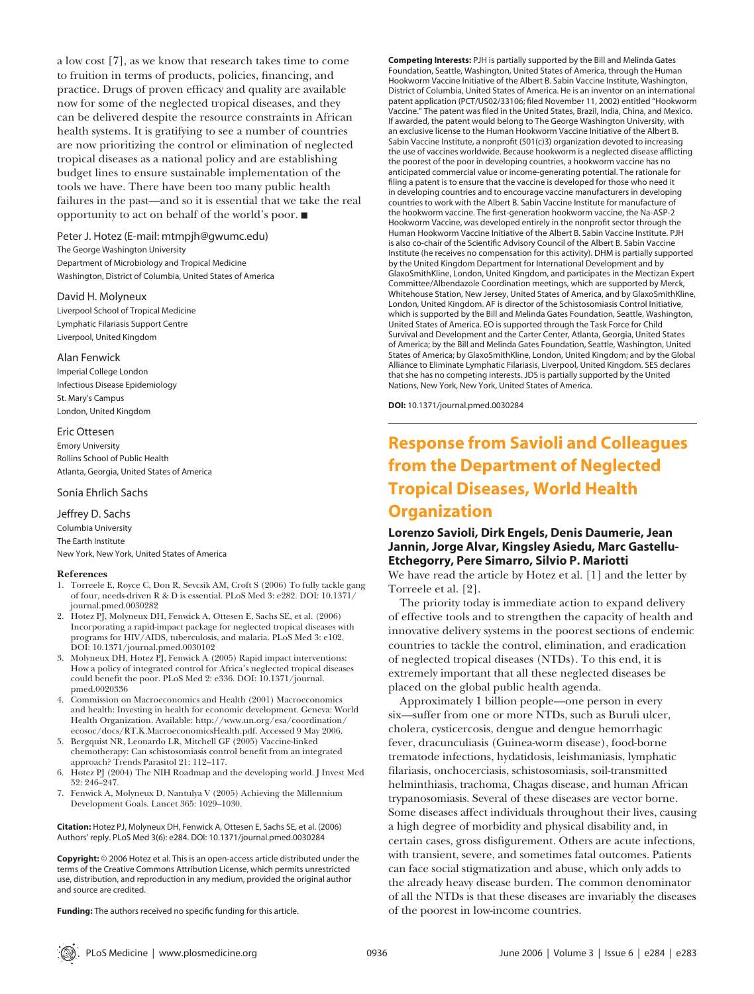a low cost [7], as we know that research takes time to come to fruition in terms of products, policies, financing, and practice. Drugs of proven efficacy and quality are available now for some of the neglected tropical diseases, and they can be delivered despite the resource constraints in African health systems. It is gratifying to see a number of countries are now prioritizing the control or elimination of neglected tropical diseases as a national policy and are establishing budget lines to ensure sustainable implementation of the tools we have. There have been too many public health failures in the past—and so it is essential that we take the real opportunity to act on behalf of the world's poor.

### Peter J. Hotez (E-mail: mtmpjh@gwumc.edu)

The George Washington University Department of Microbiology and Tropical Medicine Washington, District of Columbia, United States of America

### David H. Molyneux

Liverpool School of Tropical Medicine Lymphatic Filariasis Support Centre Liverpool, United Kingdom

### Alan Fenwick

Imperial College London Infectious Disease Epidemiology St. Mary's Campus London, United Kingdom

#### Eric Ottesen

Emory University Rollins School of Public Health Atlanta, Georgia, United States of America

### Sonia Ehrlich Sachs

Jeffrey D. Sachs Columbia University The Earth Institute New York, New York, United States of America

#### **References**

- 1. Torreele E, Royce C, Don R, Sevcsik AM, Croft S (2006) To fully tackle gang of four, needs-driven R & D is essential. PLoS Med 3: e282. DOI: 10.1371/ journal.pmed.0030282
- 2. Hotez PJ, Molyneux DH, Fenwick A, Ottesen E, Sachs SE, et al. (2006) Incorporating a rapid-impact package for neglected tropical diseases with programs for HIV/AIDS, tuberculosis, and malaria. PLoS Med 3: e102. DOI: 10.1371/journal.pmed.0030102
- 3. Molyneux DH, Hotez PJ, Fenwick A (2005) Rapid impact interventions: How a policy of integrated control for Africa's neglected tropical diseases could benefit the poor. PLoS Med 2: e336. DOI: 10.1371/journal. pmed.0020336
- 4. Commission on Macroeconomics and Health (2001) Macroeconomics and health: Investing in health for economic development. Geneva: World Health Organization. Available: http://www.un.org/esa/coordination/ ecosoc/docs/RT.K.MacroeconomicsHealth.pdf. Accessed 9 May 2006.
- 5. Bergquist NR, Leonardo LR, Mitchell GF (2005) Vaccine-linked chemotherapy: Can schistosomiasis control benefit from an integrated approach? Trends Parasitol 21: 112–117.
- 6. Hotez PJ (2004) The NIH Roadmap and the developing world. J Invest Med 52: 246–247.
- 7. Fenwick A, Molyneux D, Nantulya V (2005) Achieving the Millennium Development Goals. Lancet 365: 1029–1030.

**Citation:** Hotez PJ, Molyneux DH, Fenwick A, Ottesen E, Sachs SE, et al. (2006) Authors' reply. PLoS Med 3(6): e284. DOI: 10.1371/journal.pmed.0030284

**Copyright:** © 2006 Hotez et al. This is an open-access article distributed under the terms of the Creative Commons Attribution License, which permits unrestricted use, distribution, and reproduction in any medium, provided the original author and source are credited.

Funding: The authors received no specific funding for this article.

**Competing Interests:** PJH is partially supported by the Bill and Melinda Gates Foundation, Seattle, Washington, United States of America, through the Human Hookworm Vaccine Initiative of the Albert B. Sabin Vaccine Institute, Washington, District of Columbia, United States of America. He is an inventor on an international patent application (PCT/US02/33106; filed November 11, 2002) entitled "Hookworm Vaccine." The patent was filed in the United States, Brazil, India, China, and Mexico. If awarded, the patent would belong to The George Washington University, with an exclusive license to the Human Hookworm Vaccine Initiative of the Albert B. Sabin Vaccine Institute, a nonprofit (501(c)3) organization devoted to increasing the use of vaccines worldwide. Because hookworm is a neglected disease afflicting the poorest of the poor in developing countries, a hookworm vaccine has no anticipated commercial value or income-generating potential. The rationale for filing a patent is to ensure that the vaccine is developed for those who need it in developing countries and to encourage vaccine manufacturers in developing countries to work with the Albert B. Sabin Vaccine Institute for manufacture of the hookworm vaccine. The first-generation hookworm vaccine, the Na-ASP-2 Hookworm Vaccine, was developed entirely in the nonprofit sector through the Human Hookworm Vaccine Initiative of the Albert B. Sabin Vaccine Institute. PJH is also co-chair of the Scientific Advisory Council of the Albert B. Sabin Vaccine Institute (he receives no compensation for this activity). DHM is partially supported by the United Kingdom Department for International Development and by GlaxoSmithKline, London, United Kingdom, and participates in the Mectizan Expert Committee/Albendazole Coordination meetings, which are supported by Merck, Whitehouse Station, New Jersey, United States of America, and by GlaxoSmithKline, London, United Kingdom. AF is director of the Schistosomiasis Control Initiative, which is supported by the Bill and Melinda Gates Foundation, Seattle, Washington, United States of America. EO is supported through the Task Force for Child Survival and Development and the Carter Center, Atlanta, Georgia, United States of America; by the Bill and Melinda Gates Foundation, Seattle, Washington, United States of America; by GlaxoSmithKline, London, United Kingdom; and by the Global Alliance to Eliminate Lymphatic Filariasis, Liverpool, United Kingdom. SES declares that she has no competing interests. JDS is partially supported by the United Nations, New York, New York, United States of America.

**DOI:** 10.1371/journal.pmed.0030284

# **Response from Savioli and Colleagues from the Department of Neglected Tropical Diseases, World Health Organization**

## **Lorenzo Savioli, Dirk Engels, Denis Daumerie, Jean Jannin, Jorge Alvar, Kingsley Asiedu, Marc Gastellu-Etchegorry, Pere Simarro, Silvio P. Mariotti**

We have read the article by Hotez et al. [1] and the letter by Torreele et al. [2].

The priority today is immediate action to expand delivery of effective tools and to strengthen the capacity of health and innovative delivery systems in the poorest sections of endemic countries to tackle the control, elimination, and eradication of neglected tropical diseases (NTDs). To this end, it is extremely important that all these neglected diseases be placed on the global public health agenda.

Approximately 1 billion people—one person in every six—suffer from one or more NTDs, such as Buruli ulcer, cholera, cysticercosis, dengue and dengue hemorrhagic fever, dracunculiasis (Guinea-worm disease), food-borne trematode infections, hydatidosis, leishmaniasis, lymphatic filariasis, onchocerciasis, schistosomiasis, soil-transmitted helminthiasis, trachoma, Chagas disease, and human African trypanosomiasis. Several of these diseases are vector borne. Some diseases affect individuals throughout their lives, causing a high degree of morbidity and physical disability and, in certain cases, gross disfigurement. Others are acute infections, with transient, severe, and sometimes fatal outcomes. Patients can face social stigmatization and abuse, which only adds to the already heavy disease burden. The common denominator of all the NTDs is that these diseases are invariably the diseases of the poorest in low-income countries.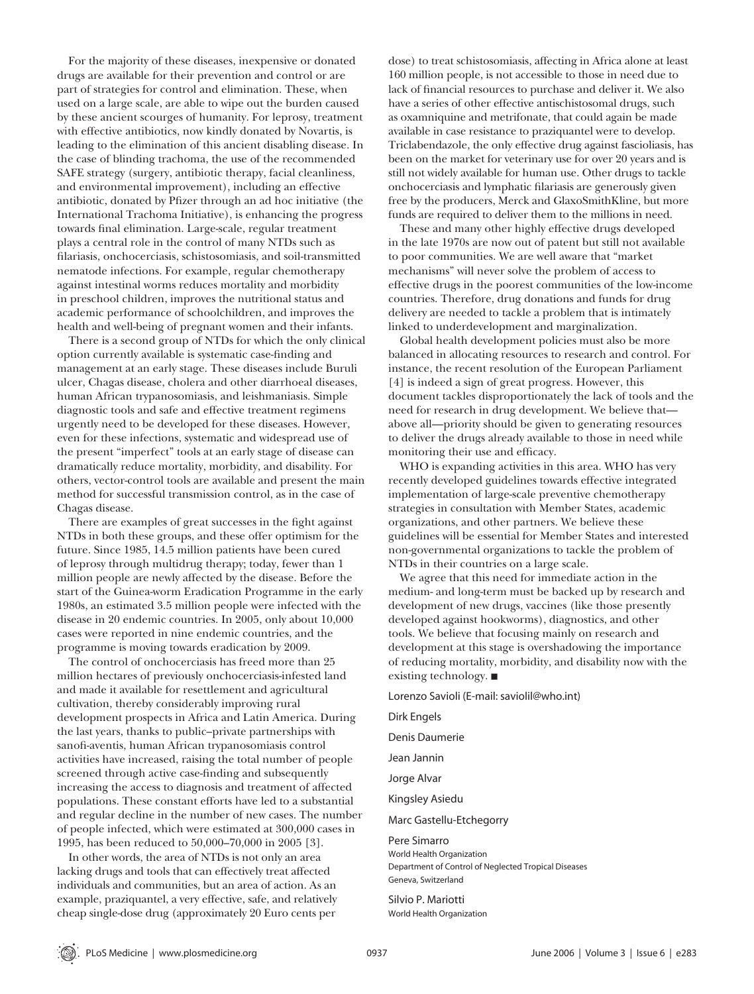For the majority of these diseases, inexpensive or donated drugs are available for their prevention and control or are part of strategies for control and elimination. These, when used on a large scale, are able to wipe out the burden caused by these ancient scourges of humanity. For leprosy, treatment with effective antibiotics, now kindly donated by Novartis, is leading to the elimination of this ancient disabling disease. In the case of blinding trachoma, the use of the recommended SAFE strategy (surgery, antibiotic therapy, facial cleanliness, and environmental improvement), including an effective antibiotic, donated by Pfizer through an ad hoc initiative (the International Trachoma Initiative), is enhancing the progress towards final elimination. Large-scale, regular treatment plays a central role in the control of many NTDs such as filariasis, onchocerciasis, schistosomiasis, and soil-transmitted nematode infections. For example, regular chemotherapy against intestinal worms reduces mortality and morbidity in preschool children, improves the nutritional status and academic performance of schoolchildren, and improves the health and well-being of pregnant women and their infants.

There is a second group of NTDs for which the only clinical option currently available is systematic case-finding and management at an early stage. These diseases include Buruli ulcer, Chagas disease, cholera and other diarrhoeal diseases, human African trypanosomiasis, and leishmaniasis. Simple diagnostic tools and safe and effective treatment regimens urgently need to be developed for these diseases. However, even for these infections, systematic and widespread use of the present "imperfect" tools at an early stage of disease can dramatically reduce mortality, morbidity, and disability. For others, vector-control tools are available and present the main method for successful transmission control, as in the case of Chagas disease.

There are examples of great successes in the fight against NTDs in both these groups, and these offer optimism for the future. Since 1985, 14.5 million patients have been cured of leprosy through multidrug therapy; today, fewer than 1 million people are newly affected by the disease. Before the start of the Guinea-worm Eradication Programme in the early 1980s, an estimated 3.5 million people were infected with the disease in 20 endemic countries. In 2005, only about 10,000 cases were reported in nine endemic countries, and the programme is moving towards eradication by 2009.

The control of onchocerciasis has freed more than 25 million hectares of previously onchocerciasis-infested land and made it available for resettlement and agricultural cultivation, thereby considerably improving rural development prospects in Africa and Latin America. During the last years, thanks to public–private partnerships with sanofi-aventis, human African trypanosomiasis control activities have increased, raising the total number of people screened through active case-finding and subsequently increasing the access to diagnosis and treatment of affected populations. These constant efforts have led to a substantial and regular decline in the number of new cases. The number of people infected, which were estimated at 300,000 cases in 1995, has been reduced to 50,000–70,000 in 2005 [3].

In other words, the area of NTDs is not only an area lacking drugs and tools that can effectively treat affected individuals and communities, but an area of action. As an example, praziquantel, a very effective, safe, and relatively cheap single-dose drug (approximately 20 Euro cents per

dose) to treat schistosomiasis, affecting in Africa alone at least 160 million people, is not accessible to those in need due to lack of financial resources to purchase and deliver it. We also have a series of other effective antischistosomal drugs, such as oxamniquine and metrifonate, that could again be made available in case resistance to praziquantel were to develop. Triclabendazole, the only effective drug against fascioliasis, has been on the market for veterinary use for over 20 years and is still not widely available for human use. Other drugs to tackle onchocerciasis and lymphatic filariasis are generously given free by the producers, Merck and GlaxoSmithKline, but more funds are required to deliver them to the millions in need.

These and many other highly effective drugs developed in the late 1970s are now out of patent but still not available to poor communities. We are well aware that "market mechanisms" will never solve the problem of access to effective drugs in the poorest communities of the low-income countries. Therefore, drug donations and funds for drug delivery are needed to tackle a problem that is intimately linked to underdevelopment and marginalization.

Global health development policies must also be more balanced in allocating resources to research and control. For instance, the recent resolution of the European Parliament [4] is indeed a sign of great progress. However, this document tackles disproportionately the lack of tools and the need for research in drug development. We believe that above all—priority should be given to generating resources to deliver the drugs already available to those in need while monitoring their use and efficacy.

WHO is expanding activities in this area. WHO has very recently developed guidelines towards effective integrated implementation of large-scale preventive chemotherapy strategies in consultation with Member States, academic organizations, and other partners. We believe these guidelines will be essential for Member States and interested non-governmental organizations to tackle the problem of NTDs in their countries on a large scale.

We agree that this need for immediate action in the medium- and long-term must be backed up by research and development of new drugs, vaccines (like those presently developed against hookworms), diagnostics, and other tools. We believe that focusing mainly on research and development at this stage is overshadowing the importance of reducing mortality, morbidity, and disability now with the existing technology.

Lorenzo Savioli (E-mail: saviolil@who.int) Dirk Engels Denis Daumerie Jean Jannin Jorge Alvar Kingsley Asiedu Marc Gastellu-Etchegorry Pere Simarro

World Health Organization Department of Control of Neglected Tropical Diseases Geneva, Switzerland

Silvio P. Mariotti World Health Organization